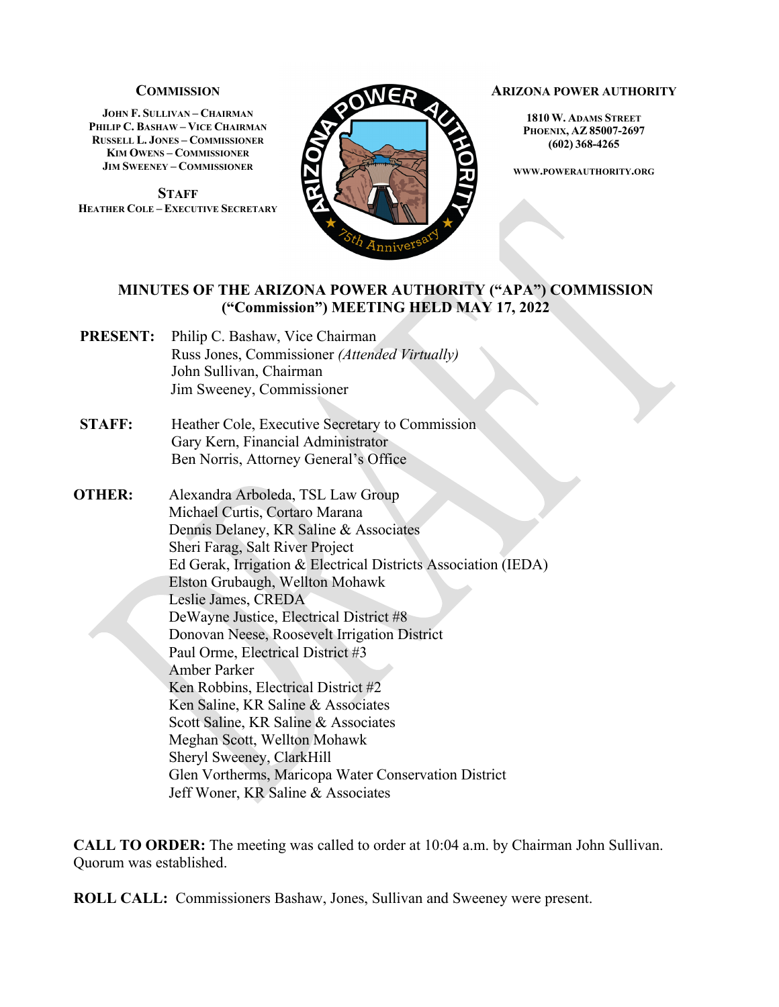### **COMMISSION**

**JOHN F. SULLIVAN – CHAIRMAN PHILIP C. BASHAW – VICE CHAIRMAN RUSSELL L. JONES – COMMISSIONER KIM OWENS – COMMISSIONER JIM SWEENEY – COMMISSIONER**

**STAFF HEATHER COLE – EXECUTIVE SECRETARY**



#### **ARIZONA POWER AUTHORITY**

**1810 W. ADAMS STREET PHOENIX, AZ 85007-2697 (602) 368-4265**

**WWW.POWERAUTHORITY.ORG**

### **MINUTES OF THE ARIZONA POWER AUTHORITY ("APA") COMMISSION ("Commission") MEETING HELD MAY 17, 2022**

- **PRESENT:** Philip C. Bashaw, Vice Chairman Russ Jones, Commissioner *(Attended Virtually)* John Sullivan, Chairman Jim Sweeney, Commissioner
- **STAFF:** Heather Cole, Executive Secretary to Commission Gary Kern, Financial Administrator Ben Norris, Attorney General's Office
- **OTHER:** Alexandra Arboleda, TSL Law Group Michael Curtis, Cortaro Marana Dennis Delaney, KR Saline & Associates Sheri Farag, Salt River Project Ed Gerak, Irrigation & Electrical Districts Association (IEDA) Elston Grubaugh, Wellton Mohawk Leslie James, CREDA DeWayne Justice, Electrical District #8 Donovan Neese, Roosevelt Irrigation District Paul Orme, Electrical District #3 Amber Parker Ken Robbins, Electrical District #2 Ken Saline, KR Saline & Associates Scott Saline, KR Saline & Associates Meghan Scott, Wellton Mohawk Sheryl Sweeney, ClarkHill Glen Vortherms, Maricopa Water Conservation District Jeff Woner, KR Saline & Associates

**CALL TO ORDER:** The meeting was called to order at 10:04 a.m. by Chairman John Sullivan. Quorum was established.

**ROLL CALL:** Commissioners Bashaw, Jones, Sullivan and Sweeney were present.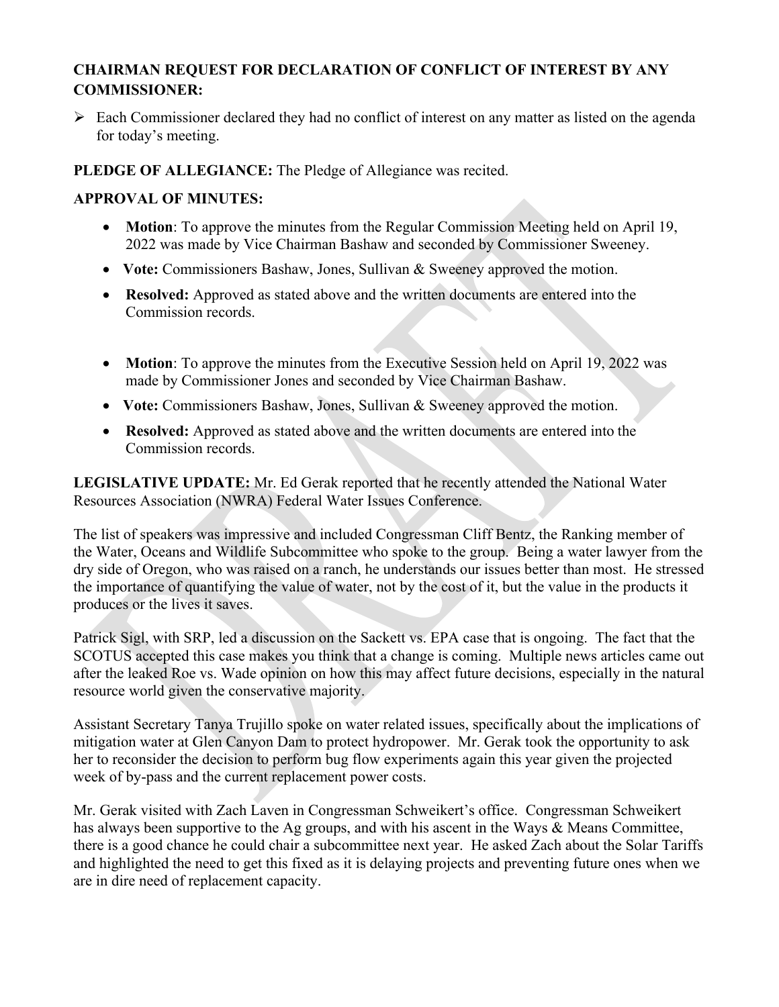# **CHAIRMAN REQUEST FOR DECLARATION OF CONFLICT OF INTEREST BY ANY COMMISSIONER:**

 $\triangleright$  Each Commissioner declared they had no conflict of interest on any matter as listed on the agenda for today's meeting.

**PLEDGE OF ALLEGIANCE:** The Pledge of Allegiance was recited.

## **APPROVAL OF MINUTES:**

- **Motion**: To approve the minutes from the Regular Commission Meeting held on April 19, 2022 was made by Vice Chairman Bashaw and seconded by Commissioner Sweeney.
- Vote: Commissioners Bashaw, Jones, Sullivan & Sweeney approved the motion.
- **Resolved:** Approved as stated above and the written documents are entered into the Commission records.
- **Motion**: To approve the minutes from the Executive Session held on April 19, 2022 was made by Commissioner Jones and seconded by Vice Chairman Bashaw.
- **Vote:** Commissioners Bashaw, Jones, Sullivan & Sweeney approved the motion.
- **Resolved:** Approved as stated above and the written documents are entered into the Commission records.

**LEGISLATIVE UPDATE:** Mr. Ed Gerak reported that he recently attended the National Water Resources Association (NWRA) Federal Water Issues Conference.

The list of speakers was impressive and included Congressman Cliff Bentz, the Ranking member of the Water, Oceans and Wildlife Subcommittee who spoke to the group. Being a water lawyer from the dry side of Oregon, who was raised on a ranch, he understands our issues better than most. He stressed the importance of quantifying the value of water, not by the cost of it, but the value in the products it produces or the lives it saves.

Patrick Sigl, with SRP, led a discussion on the Sackett vs. EPA case that is ongoing. The fact that the SCOTUS accepted this case makes you think that a change is coming. Multiple news articles came out after the leaked Roe vs. Wade opinion on how this may affect future decisions, especially in the natural resource world given the conservative majority.

Assistant Secretary Tanya Trujillo spoke on water related issues, specifically about the implications of mitigation water at Glen Canyon Dam to protect hydropower. Mr. Gerak took the opportunity to ask her to reconsider the decision to perform bug flow experiments again this year given the projected week of by-pass and the current replacement power costs.

Mr. Gerak visited with Zach Laven in Congressman Schweikert's office. Congressman Schweikert has always been supportive to the Ag groups, and with his ascent in the Ways & Means Committee, there is a good chance he could chair a subcommittee next year. He asked Zach about the Solar Tariffs and highlighted the need to get this fixed as it is delaying projects and preventing future ones when we are in dire need of replacement capacity.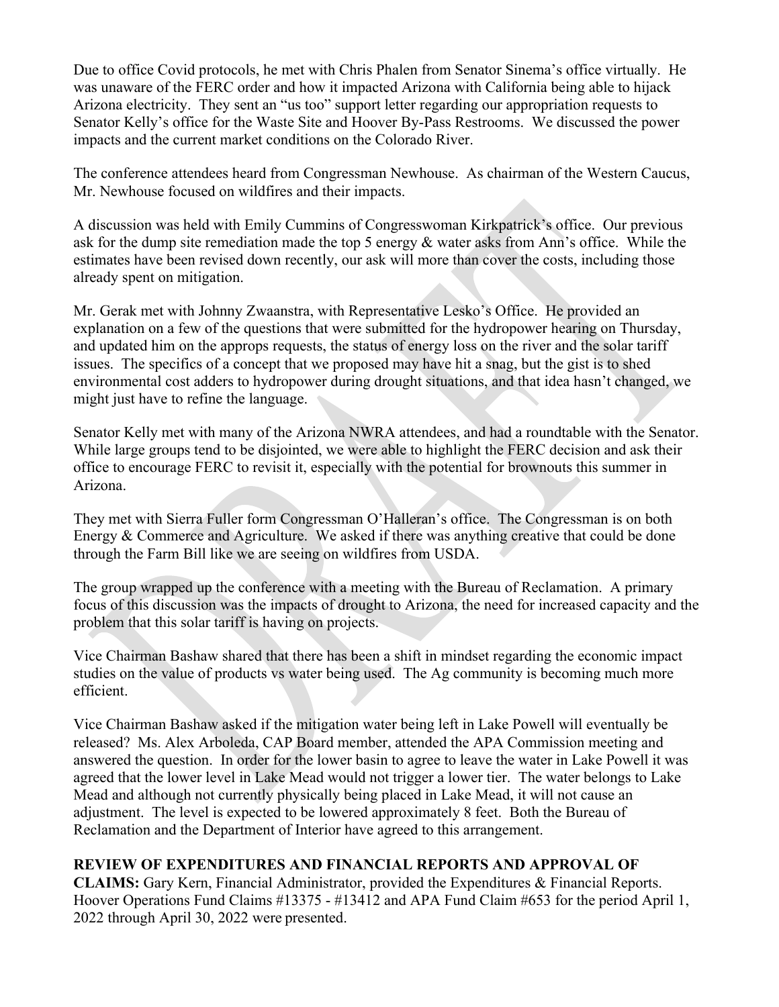Due to office Covid protocols, he met with Chris Phalen from Senator Sinema's office virtually. He was unaware of the FERC order and how it impacted Arizona with California being able to hijack Arizona electricity. They sent an "us too" support letter regarding our appropriation requests to Senator Kelly's office for the Waste Site and Hoover By-Pass Restrooms. We discussed the power impacts and the current market conditions on the Colorado River.

The conference attendees heard from Congressman Newhouse. As chairman of the Western Caucus, Mr. Newhouse focused on wildfires and their impacts.

A discussion was held with Emily Cummins of Congresswoman Kirkpatrick's office. Our previous ask for the dump site remediation made the top 5 energy & water asks from Ann's office. While the estimates have been revised down recently, our ask will more than cover the costs, including those already spent on mitigation.

Mr. Gerak met with Johnny Zwaanstra, with Representative Lesko's Office. He provided an explanation on a few of the questions that were submitted for the hydropower hearing on Thursday, and updated him on the approps requests, the status of energy loss on the river and the solar tariff issues. The specifics of a concept that we proposed may have hit a snag, but the gist is to shed environmental cost adders to hydropower during drought situations, and that idea hasn't changed, we might just have to refine the language.

Senator Kelly met with many of the Arizona NWRA attendees, and had a roundtable with the Senator. While large groups tend to be disjointed, we were able to highlight the FERC decision and ask their office to encourage FERC to revisit it, especially with the potential for brownouts this summer in Arizona.

They met with Sierra Fuller form Congressman O'Halleran's office. The Congressman is on both Energy & Commerce and Agriculture. We asked if there was anything creative that could be done through the Farm Bill like we are seeing on wildfires from USDA.

The group wrapped up the conference with a meeting with the Bureau of Reclamation. A primary focus of this discussion was the impacts of drought to Arizona, the need for increased capacity and the problem that this solar tariff is having on projects.

Vice Chairman Bashaw shared that there has been a shift in mindset regarding the economic impact studies on the value of products vs water being used. The Ag community is becoming much more efficient.

Vice Chairman Bashaw asked if the mitigation water being left in Lake Powell will eventually be released? Ms. Alex Arboleda, CAP Board member, attended the APA Commission meeting and answered the question. In order for the lower basin to agree to leave the water in Lake Powell it was agreed that the lower level in Lake Mead would not trigger a lower tier. The water belongs to Lake Mead and although not currently physically being placed in Lake Mead, it will not cause an adjustment. The level is expected to be lowered approximately 8 feet. Both the Bureau of Reclamation and the Department of Interior have agreed to this arrangement.

## **REVIEW OF EXPENDITURES AND FINANCIAL REPORTS AND APPROVAL OF**

**CLAIMS:** Gary Kern, Financial Administrator, provided the Expenditures & Financial Reports. Hoover Operations Fund Claims #13375 - #13412 and APA Fund Claim #653 for the period April 1, 2022 through April 30, 2022 were presented.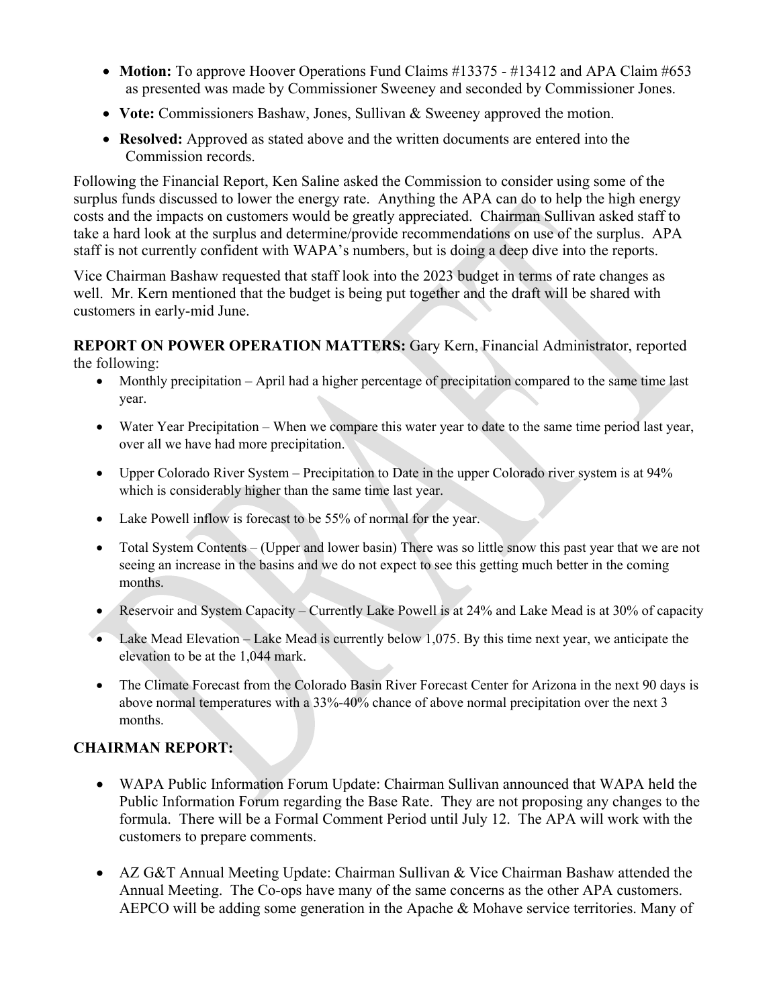- **Motion:** To approve Hoover Operations Fund Claims #13375 #13412 and APA Claim #653 as presented was made by Commissioner Sweeney and seconded by Commissioner Jones.
- **Vote:** Commissioners Bashaw, Jones, Sullivan & Sweeney approved the motion.
- **Resolved:** Approved as stated above and the written documents are entered into the Commission records.

Following the Financial Report, Ken Saline asked the Commission to consider using some of the surplus funds discussed to lower the energy rate. Anything the APA can do to help the high energy costs and the impacts on customers would be greatly appreciated. Chairman Sullivan asked staff to take a hard look at the surplus and determine/provide recommendations on use of the surplus. APA staff is not currently confident with WAPA's numbers, but is doing a deep dive into the reports.

Vice Chairman Bashaw requested that staff look into the 2023 budget in terms of rate changes as well. Mr. Kern mentioned that the budget is being put together and the draft will be shared with customers in early-mid June.

# **REPORT ON POWER OPERATION MATTERS:** Gary Kern, Financial Administrator, reported

the following:

- Monthly precipitation April had a higher percentage of precipitation compared to the same time last year.
- Water Year Precipitation When we compare this water year to date to the same time period last year, over all we have had more precipitation.
- Upper Colorado River System Precipitation to Date in the upper Colorado river system is at 94% which is considerably higher than the same time last year.
- Lake Powell inflow is forecast to be 55% of normal for the year.
- Total System Contents (Upper and lower basin) There was so little snow this past year that we are not seeing an increase in the basins and we do not expect to see this getting much better in the coming months.
- Reservoir and System Capacity Currently Lake Powell is at 24% and Lake Mead is at 30% of capacity
- Lake Mead Elevation Lake Mead is currently below 1,075. By this time next year, we anticipate the elevation to be at the 1,044 mark.
- The Climate Forecast from the Colorado Basin River Forecast Center for Arizona in the next 90 days is above normal temperatures with a 33%-40% chance of above normal precipitation over the next 3 months.

# **CHAIRMAN REPORT:**

- WAPA Public Information Forum Update: Chairman Sullivan announced that WAPA held the Public Information Forum regarding the Base Rate. They are not proposing any changes to the formula. There will be a Formal Comment Period until July 12. The APA will work with the customers to prepare comments.
- AZ G&T Annual Meeting Update: Chairman Sullivan & Vice Chairman Bashaw attended the Annual Meeting. The Co-ops have many of the same concerns as the other APA customers. AEPCO will be adding some generation in the Apache & Mohave service territories. Many of